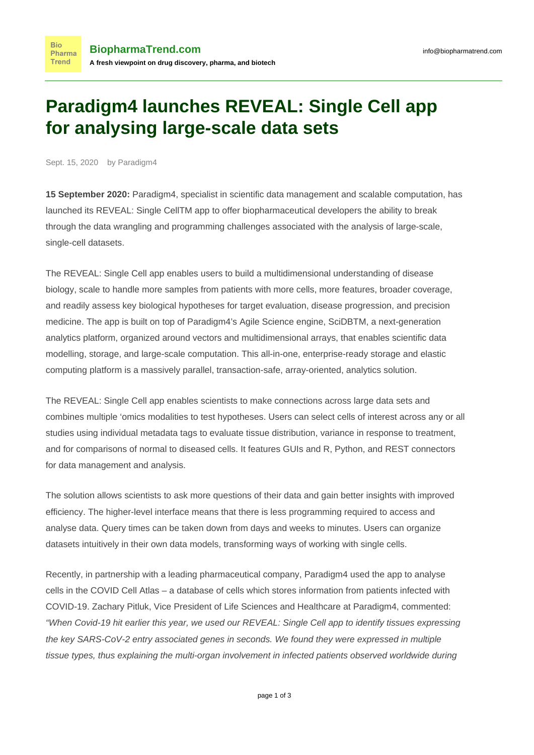## **Paradigm4 launches REVEAL: Single Cell app for analysing large-scale data sets**

Sept. 15, 2020 by Paradigm4

**Bio** Pharma **Trend** 

**15 September 2020:** Paradigm4, specialist in scientific data management and scalable computation, has launched its REVEAL: Single CellTM app to offer biopharmaceutical developers the ability to break through the data wrangling and programming challenges associated with the analysis of large-scale, single-cell datasets.

The REVEAL: Single Cell app enables users to build a multidimensional understanding of disease biology, scale to handle more samples from patients with more cells, more features, broader coverage, and readily assess key biological hypotheses for target evaluation, disease progression, and precision medicine. The app is built on top of Paradigm4's Agile Science engine, SciDBTM, a next-generation analytics platform, organized around vectors and multidimensional arrays, that enables scientific data modelling, storage, and large-scale computation. This all-in-one, enterprise-ready storage and elastic computing platform is a massively parallel, transaction-safe, array-oriented, analytics solution.

The REVEAL: Single Cell app enables scientists to make connections across large data sets and combines multiple 'omics modalities to test hypotheses. Users can select cells of interest across any or all studies using individual metadata tags to evaluate tissue distribution, variance in response to treatment, and for comparisons of normal to diseased cells. It features GUIs and R, Python, and REST connectors for data management and analysis.

The solution allows scientists to ask more questions of their data and gain better insights with improved efficiency. The higher-level interface means that there is less programming required to access and analyse data. Query times can be taken down from days and weeks to minutes. Users can organize datasets intuitively in their own data models, transforming ways of working with single cells.

Recently, in partnership with a leading pharmaceutical company, Paradigm4 used the app to analyse cells in the COVID Cell Atlas – a database of cells which stores information from patients infected with COVID-19. Zachary Pitluk, Vice President of Life Sciences and Healthcare at Paradigm4, commented: "When Covid-19 hit earlier this year, we used our REVEAL: Single Cell app to identify tissues expressing the key SARS-CoV-2 entry associated genes in seconds. We found they were expressed in multiple tissue types, thus explaining the multi-organ involvement in infected patients observed worldwide during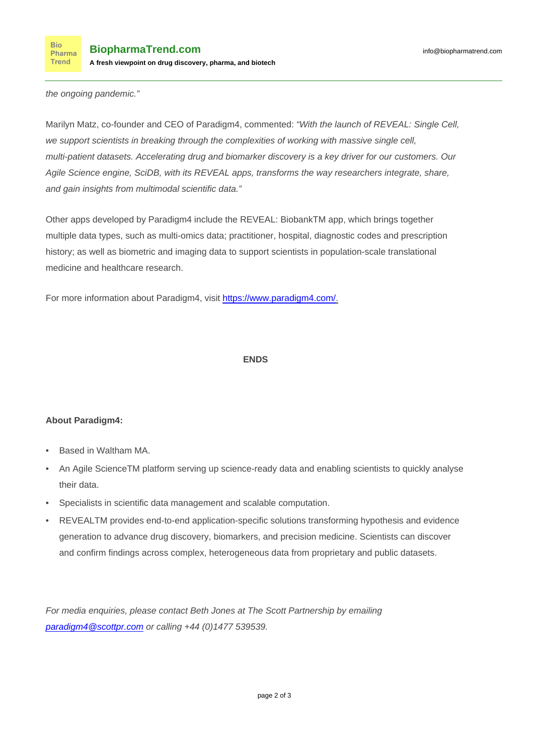the ongoing pandemic."

Marilyn Matz, co-founder and CEO of Paradigm4, commented: "With the launch of REVEAL: Single Cell, we support scientists in breaking through the complexities of working with massive single cell, multi-patient datasets. Accelerating drug and biomarker discovery is a key driver for our customers. Our Agile Science engine, SciDB, with its REVEAL apps, transforms the way researchers integrate, share, and gain insights from multimodal scientific data."

Other apps developed by Paradigm4 include the REVEAL: BiobankTM app, which brings together multiple data types, such as multi-omics data; practitioner, hospital, diagnostic codes and prescription history; as well as biometric and imaging data to support scientists in population-scale translational medicine and healthcare research.

For more information about Paradigm4, visit<https://www.paradigm4.com/>.

## **ENDS**

## **About Paradigm4:**

- Based in Waltham MA.
- An Agile ScienceTM platform serving up science-ready data and enabling scientists to quickly analyse their data.
- Specialists in scientific data management and scalable computation.
- REVEALTM provides end-to-end application-specific solutions transforming hypothesis and evidence generation to advance drug discovery, biomarkers, and precision medicine. Scientists can discover and confirm findings across complex, heterogeneous data from proprietary and public datasets.

For media enquiries, please contact Beth Jones at The Scott Partnership by emailing [paradigm4@scottpr.com](mailto:paradigm4@scottpr.com) or calling +44 (0)1477 539539.